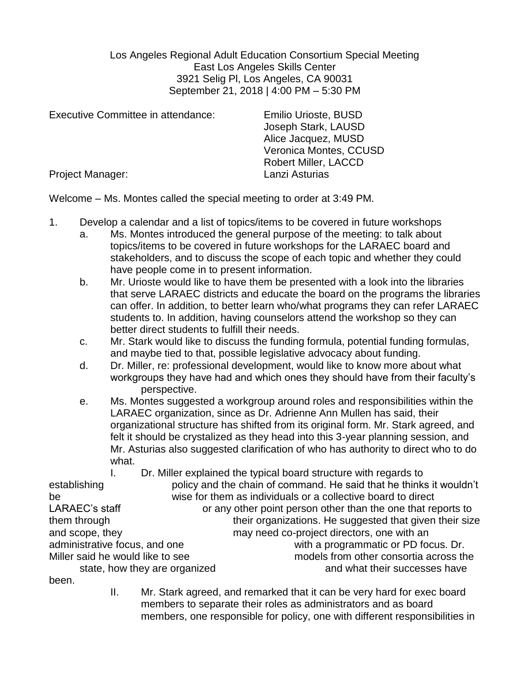Los Angeles Regional Adult Education Consortium Special Meeting East Los Angeles Skills Center 3921 Selig Pl, Los Angeles, CA 90031 September 21, 2018 | 4:00 PM – 5:30 PM

| Executive Committee in attendance: | <b>Emilio Urioste, BUSD</b><br>Joseph Stark, LAUSD<br>Alice Jacquez, MUSD<br>Veronica Montes, CCUSD<br><b>Robert Miller, LACCD</b> |
|------------------------------------|------------------------------------------------------------------------------------------------------------------------------------|
| Project Manager:                   | Lanzi Asturias                                                                                                                     |

Welcome – Ms. Montes called the special meeting to order at 3:49 PM.

- 1. Develop a calendar and a list of topics/items to be covered in future workshops
	- a. Ms. Montes introduced the general purpose of the meeting: to talk about topics/items to be covered in future workshops for the LARAEC board and stakeholders, and to discuss the scope of each topic and whether they could have people come in to present information.
	- b. Mr. Urioste would like to have them be presented with a look into the libraries that serve LARAEC districts and educate the board on the programs the libraries can offer. In addition, to better learn who/what programs they can refer LARAEC students to. In addition, having counselors attend the workshop so they can better direct students to fulfill their needs.
	- c. Mr. Stark would like to discuss the funding formula, potential funding formulas, and maybe tied to that, possible legislative advocacy about funding.
	- d. Dr. Miller, re: professional development, would like to know more about what workgroups they have had and which ones they should have from their faculty's perspective.
	- e. Ms. Montes suggested a workgroup around roles and responsibilities within the LARAEC organization, since as Dr. Adrienne Ann Mullen has said, their organizational structure has shifted from its original form. Mr. Stark agreed, and felt it should be crystalized as they head into this 3-year planning session, and Mr. Asturias also suggested clarification of who has authority to direct who to do what.

I. Dr. Miller explained the typical board structure with regards to establishing policy and the chain of command. He said that he thinks it wouldn't be wise for them as individuals or a collective board to direct LARAEC's staff or any other point person other than the one that reports to them through their organizations. He suggested that given their size and scope, they may need co-project directors, one with an administrative focus, and one with a programmatic or PD focus. Dr. Miller said he would like to see models from other consortia across the state, how they are organized and what their successes have been.

> II. Mr. Stark agreed, and remarked that it can be very hard for exec board members to separate their roles as administrators and as board members, one responsible for policy, one with different responsibilities in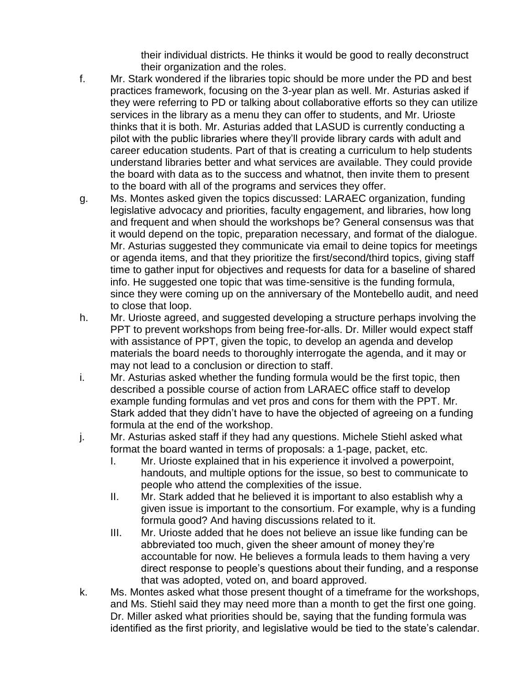their individual districts. He thinks it would be good to really deconstruct their organization and the roles.

- f. Mr. Stark wondered if the libraries topic should be more under the PD and best practices framework, focusing on the 3-year plan as well. Mr. Asturias asked if they were referring to PD or talking about collaborative efforts so they can utilize services in the library as a menu they can offer to students, and Mr. Urioste thinks that it is both. Mr. Asturias added that LASUD is currently conducting a pilot with the public libraries where they'll provide library cards with adult and career education students. Part of that is creating a curriculum to help students understand libraries better and what services are available. They could provide the board with data as to the success and whatnot, then invite them to present to the board with all of the programs and services they offer.
- g. Ms. Montes asked given the topics discussed: LARAEC organization, funding legislative advocacy and priorities, faculty engagement, and libraries, how long and frequent and when should the workshops be? General consensus was that it would depend on the topic, preparation necessary, and format of the dialogue. Mr. Asturias suggested they communicate via email to deine topics for meetings or agenda items, and that they prioritize the first/second/third topics, giving staff time to gather input for objectives and requests for data for a baseline of shared info. He suggested one topic that was time-sensitive is the funding formula, since they were coming up on the anniversary of the Montebello audit, and need to close that loop.
- h. Mr. Urioste agreed, and suggested developing a structure perhaps involving the PPT to prevent workshops from being free-for-alls. Dr. Miller would expect staff with assistance of PPT, given the topic, to develop an agenda and develop materials the board needs to thoroughly interrogate the agenda, and it may or may not lead to a conclusion or direction to staff.
- i. Mr. Asturias asked whether the funding formula would be the first topic, then described a possible course of action from LARAEC office staff to develop example funding formulas and vet pros and cons for them with the PPT. Mr. Stark added that they didn't have to have the objected of agreeing on a funding formula at the end of the workshop.
- j. Mr. Asturias asked staff if they had any questions. Michele Stiehl asked what format the board wanted in terms of proposals: a 1-page, packet, etc.
	- I. Mr. Urioste explained that in his experience it involved a powerpoint, handouts, and multiple options for the issue, so best to communicate to people who attend the complexities of the issue.
	- II. Mr. Stark added that he believed it is important to also establish why a given issue is important to the consortium. For example, why is a funding formula good? And having discussions related to it.
	- III. Mr. Urioste added that he does not believe an issue like funding can be abbreviated too much, given the sheer amount of money they're accountable for now. He believes a formula leads to them having a very direct response to people's questions about their funding, and a response that was adopted, voted on, and board approved.
- k. Ms. Montes asked what those present thought of a timeframe for the workshops, and Ms. Stiehl said they may need more than a month to get the first one going. Dr. Miller asked what priorities should be, saying that the funding formula was identified as the first priority, and legislative would be tied to the state's calendar.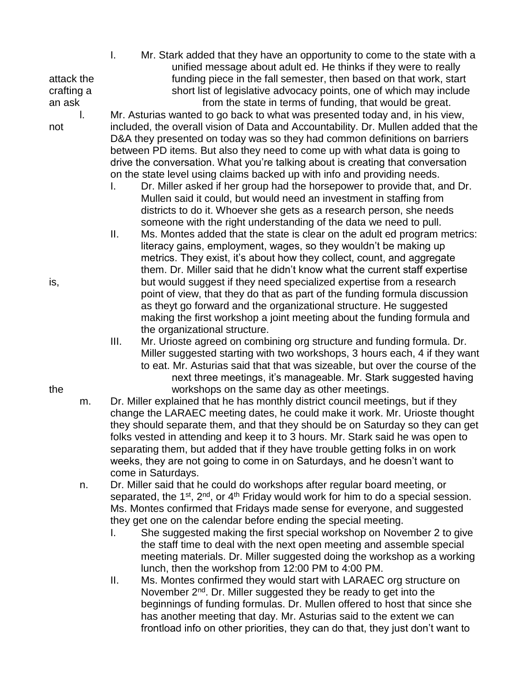I. Mr. Stark added that they have an opportunity to come to the state with a unified message about adult ed. He thinks if they were to really attack the funding piece in the fall semester, then based on that work, start crafting a short list of legislative advocacy points, one of which may include an ask **from the state in terms of funding, that would be great.** 

l. Mr. Asturias wanted to go back to what was presented today and, in his view, not included, the overall vision of Data and Accountability. Dr. Mullen added that the D&A they presented on today was so they had common definitions on barriers between PD items. But also they need to come up with what data is going to drive the conversation. What you're talking about is creating that conversation on the state level using claims backed up with info and providing needs.

- I. Dr. Miller asked if her group had the horsepower to provide that, and Dr. Mullen said it could, but would need an investment in staffing from districts to do it. Whoever she gets as a research person, she needs someone with the right understanding of the data we need to pull.
- II. Ms. Montes added that the state is clear on the adult ed program metrics: literacy gains, employment, wages, so they wouldn't be making up metrics. They exist, it's about how they collect, count, and aggregate them. Dr. Miller said that he didn't know what the current staff expertise is, but would suggest if they need specialized expertise from a research point of view, that they do that as part of the funding formula discussion as theyt go forward and the organizational structure. He suggested making the first workshop a joint meeting about the funding formula and the organizational structure.
- III. Mr. Urioste agreed on combining org structure and funding formula. Dr. Miller suggested starting with two workshops, 3 hours each, 4 if they want to eat. Mr. Asturias said that that was sizeable, but over the course of the next three meetings, it's manageable. Mr. Stark suggested having the workshops on the same day as other meetings.
	- m. Dr. Miller explained that he has monthly district council meetings, but if they change the LARAEC meeting dates, he could make it work. Mr. Urioste thought they should separate them, and that they should be on Saturday so they can get folks vested in attending and keep it to 3 hours. Mr. Stark said he was open to separating them, but added that if they have trouble getting folks in on work weeks, they are not going to come in on Saturdays, and he doesn't want to come in Saturdays.
	- n. Dr. Miller said that he could do workshops after regular board meeting, or separated, the  $1^{st}$ ,  $2^{nd}$ , or  $4^{th}$  Friday would work for him to do a special session. Ms. Montes confirmed that Fridays made sense for everyone, and suggested they get one on the calendar before ending the special meeting.
		- I. She suggested making the first special workshop on November 2 to give the staff time to deal with the next open meeting and assemble special meeting materials. Dr. Miller suggested doing the workshop as a working lunch, then the workshop from 12:00 PM to 4:00 PM.
		- II. Ms. Montes confirmed they would start with LARAEC org structure on November 2<sup>nd</sup>. Dr. Miller suggested they be ready to get into the beginnings of funding formulas. Dr. Mullen offered to host that since she has another meeting that day. Mr. Asturias said to the extent we can frontload info on other priorities, they can do that, they just don't want to